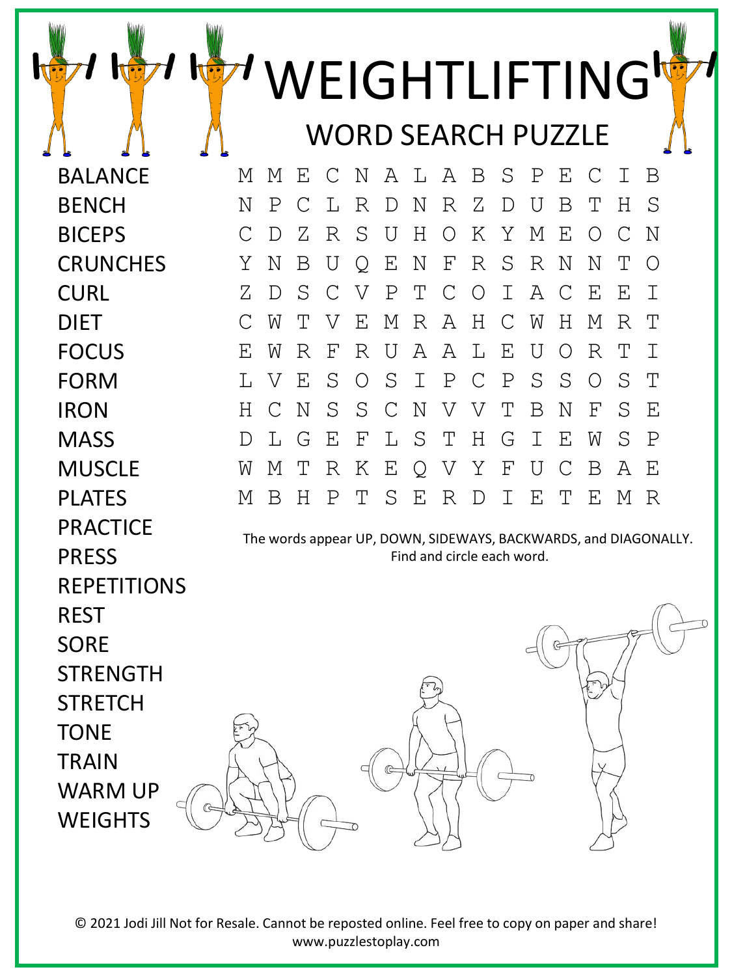|                    |                                                                 |    |   |   |   |             |               |   |                           |    |             |             |   | WEIGHTLIFTING             |   |                    |  |
|--------------------|-----------------------------------------------------------------|----|---|---|---|-------------|---------------|---|---------------------------|----|-------------|-------------|---|---------------------------|---|--------------------|--|
|                    |                                                                 |    |   |   |   |             |               |   |                           |    |             |             |   | <b>WORD SEARCH PUZZLE</b> |   |                    |  |
|                    |                                                                 |    |   |   |   |             |               |   |                           |    |             |             |   |                           |   |                    |  |
| <b>BALANCE</b>     |                                                                 | М  | М | Ε |   | N           | A             | L | A                         | B  | S           | $\mathbf P$ | Ε |                           | Ι | Β                  |  |
| <b>BENCH</b>       |                                                                 | Ν  | Ρ | С | L | R           | D             | Ν | R                         | Ζ  | D           | U           | Β | Т                         | Η | S                  |  |
| <b>BICEPS</b>      |                                                                 | C  | D | Ζ | R | S           | Ū             | Н | Ω                         | Κ  | Y           | М           | Ε | $\left( \right)$          | C | Ν                  |  |
| <b>CRUNCHES</b>    |                                                                 | Y  | N | Β | U | O           | Ε             | Ν | $\boldsymbol{\mathrm{F}}$ | R  | S           | R           | Ν | Ν                         | Т | O                  |  |
| <b>CURL</b>        |                                                                 | Ζ  | D | S | C | V           | Ρ             | Т | C                         | O  | Ι           | A           | C | Ε                         | Ε | $\mathbf I$        |  |
| <b>DIET</b>        |                                                                 | С  | W | Т | V | Ε           | М             | R | A                         | H  | С           | W           | Η | М                         | R | Т                  |  |
| <b>FOCUS</b>       |                                                                 | F. | W | R | F | R           | IJ            | Α | Α                         | T. | Ε           | U           | O | R                         | Т | $\top$             |  |
| <b>FORM</b>        |                                                                 | Т. | V | E | S | O           | S             | Ι | Ρ                         | C  | $\mathbf P$ | S           | S | $\left( \right)$          | S | T                  |  |
| <b>IRON</b>        |                                                                 | Н  | C | N | S | $\mathbf S$ | $\mathcal{C}$ | N | V                         | V  | Τ           | Β           | Ν | F                         | S | $\mathbf{F}% _{0}$ |  |
| <b>MASS</b>        |                                                                 | D  | L | G | Ε | F           | L             | S | Т                         | Η  | G           | Ι           | Ε | W                         | S | $\mathbf P$        |  |
| <b>MUSCLE</b>      |                                                                 | W  | Μ | Т | R | Κ           | Ε             | Q | V                         | Υ  | F           | U           | C | Β                         | Α | Ε                  |  |
| <b>PLATES</b>      |                                                                 | М  | B | Η | P | Т           | S             | E | R                         | D  | Ι           | E           | T | E                         | М | R                  |  |
| <b>PRACTICE</b>    | The words appear UP, DOWN, SIDEWAYS, BACKWARDS, and DIAGONALLY. |    |   |   |   |             |               |   |                           |    |             |             |   |                           |   |                    |  |
| <b>PRESS</b>       | Find and circle each word.                                      |    |   |   |   |             |               |   |                           |    |             |             |   |                           |   |                    |  |
| <b>REPETITIONS</b> |                                                                 |    |   |   |   |             |               |   |                           |    |             |             |   |                           |   |                    |  |
| <b>REST</b>        |                                                                 |    |   |   |   |             |               |   |                           |    |             |             |   |                           |   |                    |  |
| <b>SORE</b>        |                                                                 |    |   |   |   |             |               |   |                           |    |             |             |   |                           |   |                    |  |
| <b>STRENGTH</b>    |                                                                 |    |   |   |   |             |               |   |                           |    |             |             |   |                           |   |                    |  |
| <b>STRETCH</b>     |                                                                 |    |   |   |   |             |               |   |                           |    |             |             |   |                           |   |                    |  |
| <b>TONE</b>        |                                                                 |    |   |   |   |             |               |   |                           |    |             |             |   |                           |   |                    |  |
| <b>TRAIN</b>       |                                                                 |    |   |   |   |             |               |   |                           |    |             |             |   |                           |   |                    |  |
| <b>WARM UP</b>     |                                                                 |    |   |   |   |             |               |   |                           |    |             |             |   |                           |   |                    |  |
| <b>WEIGHTS</b>     |                                                                 |    |   |   |   |             |               |   |                           |    |             |             |   |                           |   |                    |  |
|                    |                                                                 |    |   |   |   |             |               |   |                           |    |             |             |   |                           |   |                    |  |

© 2021 Jodi Jill Not for Resale. Cannot be reposted online. Feel free to copy on paper and share! www.puzzlestoplay.com